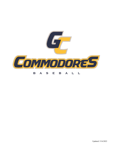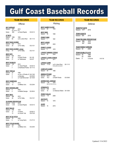## *Offense BAT AVERAGE* Season: .361 2010 Stat: (630 for 1744) Game: .583 vs Grand Rapids 03-03-10 *AT BATS* Season: 1989 1993 Game: 66 vs St. Johns River 05-11-15 *MOST RUNS SCORED* Season: 524 2010 Game: 34 vs Flo Valley 03-21-01 *MOST RUNS SCORED - Inning* Inning: 31 vs Flo Valley 03-21-01 *MOST HITS* Season: 630 2010 vs North Florida 04-1-00 Game: 22 vs North Florida 04-1-00<br>Game: 21 vs Tallahassee 04-6-07 *MOST DOUBLES* Season: 132 2010 Game: 7 vs. Grand Rapids 03-05-16 7 vs Northwest Florida 03-17-10 *MOST TRIPLES* Season: 23 1994 Game: 3 vs Univ. of Florida JV 04-21-66<br>3 vs Manatee 04-05-69 3 vs Manatee 04-05-69<br>3 vs Truett McConnell 02-15-08 vs Truett McConnell 02-15-08 *MOST HOMERUNS* Season: 111 2010 Game: 13 vs Millikan Univ. 03-22-84 *MOST GRANDSLAMS* Season: 6 Game: 4 vs Middle Georgia 02-28-04 *MOST RBI'S* Season: 488 2010<br>Game: 28 vs Flo vs Flo Valley 03-21-01 *SLUGGING PERCENTAGE* Season: 0.634 2010<br>Game: 1.375 vs Gr. vs Grand Rapids 03-03-10 **TEAM RECORDS TEAM RECORDS TEAM RECORDS**

| <b>MOST WALKS</b> |    |                  |                |
|-------------------|----|------------------|----------------|
| Season: 318       |    | 1979             |                |
| Game:             | 13 | vs Darton        | $02 - 06 - 10$ |
|                   | 13 | vs Lincoln Trail | 03-07-09       |

#### *MOST HIT BY PITCH*

| Season: 79 | 2006            |                |
|------------|-----------------|----------------|
| Game:      | vs Young Harris | $01 - 27 - 10$ |

#### *MOST STOLEN BASES*

| Season: 201 | 1984              |          |
|-------------|-------------------|----------|
| Game:       | vs Millikan Univ. | 03-22-84 |

*Pitching*

|         |    | MOST GAMES PLAYED |
|---------|----|-------------------|
| Season: | 66 | 1993              |

| MOST WINS  |      |
|------------|------|
| Season: 48 | 1984 |

*FEWEST WINS* Season: 1 1961

*MOST LOSSES* Season: 33 2003

*FEWEST LOSSES* Season: 5 1970

*LONGEST WINNING STREAK* Season: 25 2004

*LONGEST LOSING STREAK* Season: 9 2011

*LONGEST GAME* Season: 17 inn. vs St. Johns River 05-11-15 During state tournament

*COMPLETE GAMES* Season: 35 1985

*INNINGS PITCHED* Season: 503.1 1993 Game: 16.0 vs North Florida 03-30-68

*EARNED RUN AVERAGE* Season: 1.38 1970 Stat: (47 ER-314.0 inn.)

*STRIKEOUTS* Season: 439 2010<br>Game: 18 vs Ok vs Okaloosa Walton 04-10-68

*FEWEST WALKS* Season: 114 2006

*SHUTOUTS* Season: 18 1970

#### *SAVES* Season: 18 2016

*Defense*

*TEAM PUT OUTS* Season: 1377 2016

*TEAM ASSISTS* Season: 554 2016

*TEAM FIELDING PERCENTAGE* Season: .968 1970 .967 2006

*TEAM FEWEST ERRORS* Season: 54

*TEAM DOUBLE PLAYS* Season: 55 1984 53 2006 Game: 5 vs Danville 03-07-08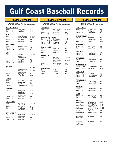*Offense (Minimum 100 plate appearances)*

|                         | <i><b>BATTING AVERAGE</b></i> |                                              |          |
|-------------------------|-------------------------------|----------------------------------------------|----------|
| Season:                 | .521                          | Mack Skipper                                 | 1963     |
| Career:                 | .430                          | Scott Clemo                                  | 83-84    |
|                         |                               |                                              |          |
| <u>AT BATS</u><br>Game: | 9                             | Woody Edwards                                | 05-11-15 |
|                         | 9                             | <b>Christian Williams</b>                    | 05-11-15 |
| Season:                 | 224                           | Nick Nelson                                  | 2016     |
| Career:                 | 418                           | Justin Kelley                                | 2019-21  |
|                         |                               |                                              |          |
| <u>RUNS SCORED</u>      |                               |                                              |          |
| Game:                   | 4                             | <b>Numerous Times</b>                        |          |
| Season:                 | 79                            | Bryce Lane                                   | 2010     |
| Career:                 | 125                           | <b>Bryce Lane</b>                            | 09-10    |
|                         |                               |                                              |          |
| HITS<br>Game:           | 5                             | <b>Tyler Weir</b>                            | 03-02-13 |
|                         |                               | vs Kankakee                                  |          |
|                         |                               | <b>Scott Beckwith</b>                        |          |
|                         |                               | vs Tallahassee                               | 04-06-07 |
| Season:                 | 87                            | Justin Byler                                 | 2005     |
| Career:                 | 151                           | Justin Byler                                 | 05-06    |
|                         |                               |                                              |          |
| <u>DOUBLES</u><br>Game: | 3                             | Kevin Husum                                  | 02-09-12 |
|                         |                               | Vs Alabama Southern                          |          |
|                         | 3                             | Mike Love                                    | 03-13-10 |
|                         |                               | vs Northwest Florida                         |          |
| Season:                 | 27                            | Roger Nylen                                  | 1993     |
| Career:                 | 35                            | <b>Eddie Cassidy</b>                         | 08-09    |
| <u>TRIPLES</u>          |                               |                                              |          |
| Game:                   | 2                             | Scott Clemo                                  | 1984     |
| Season:                 | 8                             | Jason Bowers                                 | 1997     |
|                         | 8                             | Scott Clemo                                  | 1984     |
| Career:                 | 14                            | <b>Adam Finnieston</b>                       | 93-94    |
|                         |                               |                                              |          |
| <b>HOME RUNS</b>        |                               |                                              |          |
| Game:                   | 3                             | Max Ryerson                                  | 02-23-21 |
|                         | 3                             | vs. Coastal AL South<br><b>Justin Kelley</b> | 04-13-21 |
|                         |                               | vs Coastal AL North                          |          |
| Season:                 | 26                            | Bryce Lane                                   | 2010     |
| Career:                 | 33                            | <b>Bryce Lane</b>                            | 09-10    |
|                         |                               |                                              |          |
| <u>GRAND SLAMS</u>      |                               |                                              |          |
| Game:                   | $\overline{2}$                | John Mariotti<br>vs Middle Georgia           | 02-28-04 |
| Season:                 | 3                             | John Mariotti                                | 2004     |
| Career:                 | 3                             | David Schulze                                | 07-08    |
|                         | 3                             | John Mariotti                                | 04-05    |
|                         |                               |                                              |          |
| RUNS BATTED IN          |                               |                                              |          |
| Game:                   | 10                            | David Schulze                                | 03-11-08 |
| Season:                 | 90                            | vs Lincoln College                           | 2010     |
| Career:                 | 137                           | Bryce Lane<br>Bryce Lane                     | 09-10    |
|                         |                               |                                              |          |

## **INDIVIDUAL RECORDS INDIVIDUAL RECORDS INDIVIDUAL RECORDS**

|                      |                            | Offense (Minimum 100 plate appearances)        |                |
|----------------------|----------------------------|------------------------------------------------|----------------|
| <b>TOTAL BASES</b>   |                            |                                                |                |
| Game:                | 13                         | David Schulze<br>vs Lincoln College            | $03 - 11 - 08$ |
| Season:              | 179                        | <b>Bryce Lane</b>                              | 2010           |
| Career:              | 269                        | <b>Bryce Lane</b>                              | $09-10$        |
|                      | <b>SLUGGING PERCENTAGE</b> |                                                |                |
| Game:                | 2.667                      | Nick Ratajczak<br>Stat: (9 TB vs Grand Rapids) | 03-03-10       |
| Season:              | 0.918                      | <b>Bryce Lane</b>                              | 2010           |
| Career:              | 0.754                      | <b>Bryce Lane</b>                              | $09-10$        |
| <b>BASE ON BALLS</b> |                            |                                                |                |
| Game:                | 4                          | Chad Henry                                     | 2000           |
| Season:              | 57                         | <b>Austin Murphy</b>                           | 2016           |
| Career:              | 91                         | Chad Henry                                     | 99-00          |
| HIT BY PITCH         |                            |                                                |                |
| Game:                | 3                          | Jake Sullivan<br>vs Young Harris               | $01 - 25 - 08$ |
|                      | 3                          | Jordan Karcher<br>vs Sinclair                  | 03-21-06       |
| Season:              | 24                         | Jordan Karcher                                 | 2006           |
| Career:              | 43                         | Jordan Karcher                                 | 06-07          |
| <b>STOLEN BASES</b>  |                            |                                                |                |
| Game:                | 5                          | <b>Tim Becker</b>                              | 1984           |
| Season:              | 57                         | <b>Tim Becker</b>                              | 1984           |
| Career:              | 91                         | <b>Tim Becker</b>                              | 84-85          |
|                      |                            |                                                |                |
|                      |                            |                                                |                |

*Pitching (Minimum 60 inn or 20 app)*

| GAMES STARTED<br>Season:    | 16<br>16              | <b>Andrew Morris</b><br>Matt Foster      | 2010<br>2015 |
|-----------------------------|-----------------------|------------------------------------------|--------------|
| Career:                     | 30                    | <b>Andrew Morris</b>                     | 09-10        |
|                             | <b>COMPLETE GAMES</b> |                                          |              |
| Season:                     | 12                    | Dan Petroff                              | 1993         |
|                             | 12                    | <b>Bruce Kombrink</b>                    | 1970         |
| Career:                     | 19                    | Dan Petroff                              | 93-94        |
| <u>APPEARANCES</u>          |                       |                                          |              |
| Season:                     | 26                    | Deviner McCray                           | 2016         |
| Career:                     | 43                    | Andrew Fonzi                             | 2011         |
| MOST WINS                   |                       |                                          |              |
| Season:                     | 14                    | <b>Bruce Kombrink</b>                    | 1970         |
| Career:                     | 22                    | <b>Andrew Morris</b>                     | 09-10        |
| BEST RECORD                 |                       |                                          |              |
|                             |                       |                                          |              |
| Season:                     | 14-0                  | <b>Bruce Kombrink</b>                    | 1970         |
| Career:                     | 22-2                  | <b>Andrew Morris</b>                     | 09-10        |
| INNINGS PITCHED             |                       |                                          |              |
| Season:                     | 128.1                 | Kevin Humphreys                          | 1993         |
| Career:                     | 198.2                 | <b>Brad Tanner</b>                       | 73-74        |
| <b>STRIKE OUTS</b>          |                       |                                          |              |
| Game:                       | 18                    | Pete Poldiak                             | 1968         |
| Season:                     | 131                   | Cam Greathouse                           | 2010         |
| Career:                     | 235                   | <b>Andrew Morris</b>                     | 09-10        |
| FEWEST WALKS                |                       |                                          |              |
| Season:                     | 2                     | Steven Chaney                            | 2006         |
| Career:                     | 2                     | <b>Steven Chaney</b>                     | 2006         |
| <u>SHUTOUTS</u>             |                       |                                          |              |
| Season:                     | 8                     | <b>Bruce Kombrink</b>                    | 1970         |
| Career:                     | 10                    | <b>Bruce Kombrink</b>                    | 69-70        |
| <u>SAVES</u>                |                       |                                          |              |
| Season:                     | 16                    | Deviner McCray                           | 2016         |
| Career:                     | 18                    | Deviner McCray                           | 2015-16      |
| NO-HITTERS                  |                       |                                          |              |
| <b>Andrew Morris</b>        |                       | vs Tallahassee<br>Stat: (9-0 win, 7 inn) | 03-24-10     |
| <b>Andrew Morris</b>        |                       | vs Grand Rapids<br>(20-0 win, 5 inn)     | 03-03-10     |
| Charlie Lester              |                       | vs Andrew College<br>(5-0 win, 7 inn)    | 03-05-09     |
| <b>Bruce Kombrink</b>       |                       | vs Ball State                            | 1970         |
| <b>Bruce Kombrink</b>       |                       | vs South Georgia                         | 1970         |
|                             |                       |                                          |              |
| Alex Lozado/<br>Parker Dean |                       | vs. Faulkner                             | 2020         |
|                             |                       |                                          |              |
| Eli Ellington/              |                       | vs. Faulkner                             | 2020         |
| Avery Stephens/             |                       |                                          |              |
| Austin Kapela               |                       |                                          |              |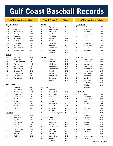### *BATTING AVERAGE*

| 0.521 | <b>Mack Skipper</b>       | 1963 |
|-------|---------------------------|------|
| 0.472 | Scott Clemo               | 1984 |
| 0.456 | Eleizar Quinones          | 1987 |
| 0.455 | Justin Byler              | 2005 |
| 0.431 | <b>Bryce Lane</b>         | 2010 |
| 0.418 | <b>Brad Ramsey</b>        | 1997 |
| 0.407 | <b>Tim Becker</b>         | 1985 |
| 0.406 | Corey Posey               | 1998 |
| 0.405 | Ryan Bear                 | 2001 |
| 0.404 | Jonathan Bennett          | 2016 |
| 0.403 | <b>Christian Williams</b> | 2014 |

#### *AT BATS*

| 224 | Nick Nelson       | 2016 |
|-----|-------------------|------|
| 223 | Roger Nylen       | 1993 |
| 221 | Charlie Commander | 1993 |
| 217 | Jason Bowers      | 1997 |
| 212 | Adam Finnieston   | 1993 |
| 208 | Juan Henderson    | 1993 |
| 206 | Bowen McGuffin    | 2016 |
| 205 | Woody Edwards     | 2015 |
| 205 | P.J. Johnston     | 1999 |
| 204 | Wes Roberson      | 2016 |

#### *RUNS SCORED*

| 79 | <b>Bryce Lane</b> | 2010 |
|----|-------------------|------|
| 68 | Jason Bowers      | 1997 |
| 62 | David Robinson    | 1993 |
| 62 | Steve Lombardozzi | 1979 |
| 61 | Cam Greathouse    | 2010 |
| 61 | Jared Keel        | 2004 |
| 60 | Kevin Husum       | 2013 |
| 58 | <b>Matt Sauls</b> | 2002 |
| 58 | Steve Lombardozzi | 1978 |
| 57 | Terrance Gore     | 2011 |

#### *TOTAL HITS*

| 87 | Justin Byler           | 2005 |
|----|------------------------|------|
| 86 | Scott Clemo            | 1984 |
| 84 | <b>Bryce Lane</b>      | 2010 |
| 79 | Jason Bowers           | 1997 |
| 78 | <b>Tyler Dial</b>      | 2013 |
| 78 | Roger Nylen            | 1993 |
| 76 | <b>Adam Finnieston</b> | 1993 |
| 74 | <b>Tim Becker</b>      | 1985 |
| 73 | Alex Kubal             | 2007 |
| 72 | <b>Trevin Hall</b>     | 2013 |

| <b>DOUBLES</b><br>27<br>1993<br>Roger Nylen<br>20<br><b>Cameron Graves</b><br>2010<br>20<br><b>Stevie Moffett</b><br>2019<br>19<br><b>Tyler Dial</b><br>2013<br>19<br><b>Tyler Reimer</b><br>2010<br>19<br>Mike Morrison<br>2008<br>19<br>1997<br><b>Brad Ramsey</b><br>18<br>2009<br><b>Eddie Cassidy</b><br>17<br>2010<br><b>Bryce Lane</b><br>17<br>2008<br><b>Eddie Cassidy</b><br>17<br>Alex Kubal<br>2007<br>2014<br>17<br>Ryan Koziol<br><b>TRIPLES</b><br>8<br>Jason Bowers<br>1997<br>Scott Clemo<br>1984<br>8<br>7<br>2012<br>Dylan Brown<br>7<br>Adam Finnieston<br>1994<br>Adam Finnieston<br>1993<br>7<br>7<br><b>Rich Toth</b><br>1972<br>6<br>Mike Morrison<br>2008<br>David Robinson<br>1993<br>6<br>5<br>2011<br>Nick Ratajczak<br>5<br>Ryan Weber<br>1997<br><u>HOME RUNS</u><br>26<br>2010<br><b>Bryce Lane</b><br>Demetric Smith<br>19<br>2000<br>16<br>David Schulze<br>2008<br>16<br>Scott Clemo<br>1983<br>15<br>2021<br>Max Ryerson<br>13<br>2012<br><b>Tyler Dial</b><br>13<br>Nick Ratajczak<br>2010<br>13<br>Jared Keel<br>2004<br>13<br>Joey Charon<br>1996<br>13<br>1989<br>Mario Baker<br>13<br>Jay Gainer<br>1988<br>Jay Gainer<br><b>RUNS BATTED IN-RBI'S</b><br>90<br><b>Bryce Lane</b><br>2010<br>71<br>Roger Nylen<br>1993<br>Scott Clemo<br>71<br>1984<br><b>Adam Finnieston</b><br>63<br>1993<br>60<br><b>Trevin Hall</b><br>2013<br>59<br>David Schultz<br>2008<br>59<br>Jamie Rock<br>1998<br>58<br>2010<br><b>Cameron Graves</b><br>58<br>1986<br><b>Steve Ault</b><br>57<br>Kevin Miller<br>1993 |  |  |
|-------------------------------------------------------------------------------------------------------------------------------------------------------------------------------------------------------------------------------------------------------------------------------------------------------------------------------------------------------------------------------------------------------------------------------------------------------------------------------------------------------------------------------------------------------------------------------------------------------------------------------------------------------------------------------------------------------------------------------------------------------------------------------------------------------------------------------------------------------------------------------------------------------------------------------------------------------------------------------------------------------------------------------------------------------------------------------------------------------------------------------------------------------------------------------------------------------------------------------------------------------------------------------------------------------------------------------------------------------------------------------------------------------------------------------------------------------------------------------------------------------------------------------------------|--|--|
|                                                                                                                                                                                                                                                                                                                                                                                                                                                                                                                                                                                                                                                                                                                                                                                                                                                                                                                                                                                                                                                                                                                                                                                                                                                                                                                                                                                                                                                                                                                                           |  |  |
|                                                                                                                                                                                                                                                                                                                                                                                                                                                                                                                                                                                                                                                                                                                                                                                                                                                                                                                                                                                                                                                                                                                                                                                                                                                                                                                                                                                                                                                                                                                                           |  |  |
|                                                                                                                                                                                                                                                                                                                                                                                                                                                                                                                                                                                                                                                                                                                                                                                                                                                                                                                                                                                                                                                                                                                                                                                                                                                                                                                                                                                                                                                                                                                                           |  |  |
|                                                                                                                                                                                                                                                                                                                                                                                                                                                                                                                                                                                                                                                                                                                                                                                                                                                                                                                                                                                                                                                                                                                                                                                                                                                                                                                                                                                                                                                                                                                                           |  |  |
|                                                                                                                                                                                                                                                                                                                                                                                                                                                                                                                                                                                                                                                                                                                                                                                                                                                                                                                                                                                                                                                                                                                                                                                                                                                                                                                                                                                                                                                                                                                                           |  |  |
|                                                                                                                                                                                                                                                                                                                                                                                                                                                                                                                                                                                                                                                                                                                                                                                                                                                                                                                                                                                                                                                                                                                                                                                                                                                                                                                                                                                                                                                                                                                                           |  |  |
|                                                                                                                                                                                                                                                                                                                                                                                                                                                                                                                                                                                                                                                                                                                                                                                                                                                                                                                                                                                                                                                                                                                                                                                                                                                                                                                                                                                                                                                                                                                                           |  |  |
|                                                                                                                                                                                                                                                                                                                                                                                                                                                                                                                                                                                                                                                                                                                                                                                                                                                                                                                                                                                                                                                                                                                                                                                                                                                                                                                                                                                                                                                                                                                                           |  |  |
|                                                                                                                                                                                                                                                                                                                                                                                                                                                                                                                                                                                                                                                                                                                                                                                                                                                                                                                                                                                                                                                                                                                                                                                                                                                                                                                                                                                                                                                                                                                                           |  |  |
|                                                                                                                                                                                                                                                                                                                                                                                                                                                                                                                                                                                                                                                                                                                                                                                                                                                                                                                                                                                                                                                                                                                                                                                                                                                                                                                                                                                                                                                                                                                                           |  |  |
|                                                                                                                                                                                                                                                                                                                                                                                                                                                                                                                                                                                                                                                                                                                                                                                                                                                                                                                                                                                                                                                                                                                                                                                                                                                                                                                                                                                                                                                                                                                                           |  |  |
|                                                                                                                                                                                                                                                                                                                                                                                                                                                                                                                                                                                                                                                                                                                                                                                                                                                                                                                                                                                                                                                                                                                                                                                                                                                                                                                                                                                                                                                                                                                                           |  |  |
|                                                                                                                                                                                                                                                                                                                                                                                                                                                                                                                                                                                                                                                                                                                                                                                                                                                                                                                                                                                                                                                                                                                                                                                                                                                                                                                                                                                                                                                                                                                                           |  |  |
|                                                                                                                                                                                                                                                                                                                                                                                                                                                                                                                                                                                                                                                                                                                                                                                                                                                                                                                                                                                                                                                                                                                                                                                                                                                                                                                                                                                                                                                                                                                                           |  |  |
|                                                                                                                                                                                                                                                                                                                                                                                                                                                                                                                                                                                                                                                                                                                                                                                                                                                                                                                                                                                                                                                                                                                                                                                                                                                                                                                                                                                                                                                                                                                                           |  |  |
|                                                                                                                                                                                                                                                                                                                                                                                                                                                                                                                                                                                                                                                                                                                                                                                                                                                                                                                                                                                                                                                                                                                                                                                                                                                                                                                                                                                                                                                                                                                                           |  |  |
|                                                                                                                                                                                                                                                                                                                                                                                                                                                                                                                                                                                                                                                                                                                                                                                                                                                                                                                                                                                                                                                                                                                                                                                                                                                                                                                                                                                                                                                                                                                                           |  |  |
|                                                                                                                                                                                                                                                                                                                                                                                                                                                                                                                                                                                                                                                                                                                                                                                                                                                                                                                                                                                                                                                                                                                                                                                                                                                                                                                                                                                                                                                                                                                                           |  |  |
|                                                                                                                                                                                                                                                                                                                                                                                                                                                                                                                                                                                                                                                                                                                                                                                                                                                                                                                                                                                                                                                                                                                                                                                                                                                                                                                                                                                                                                                                                                                                           |  |  |
|                                                                                                                                                                                                                                                                                                                                                                                                                                                                                                                                                                                                                                                                                                                                                                                                                                                                                                                                                                                                                                                                                                                                                                                                                                                                                                                                                                                                                                                                                                                                           |  |  |
|                                                                                                                                                                                                                                                                                                                                                                                                                                                                                                                                                                                                                                                                                                                                                                                                                                                                                                                                                                                                                                                                                                                                                                                                                                                                                                                                                                                                                                                                                                                                           |  |  |
|                                                                                                                                                                                                                                                                                                                                                                                                                                                                                                                                                                                                                                                                                                                                                                                                                                                                                                                                                                                                                                                                                                                                                                                                                                                                                                                                                                                                                                                                                                                                           |  |  |
|                                                                                                                                                                                                                                                                                                                                                                                                                                                                                                                                                                                                                                                                                                                                                                                                                                                                                                                                                                                                                                                                                                                                                                                                                                                                                                                                                                                                                                                                                                                                           |  |  |
|                                                                                                                                                                                                                                                                                                                                                                                                                                                                                                                                                                                                                                                                                                                                                                                                                                                                                                                                                                                                                                                                                                                                                                                                                                                                                                                                                                                                                                                                                                                                           |  |  |
|                                                                                                                                                                                                                                                                                                                                                                                                                                                                                                                                                                                                                                                                                                                                                                                                                                                                                                                                                                                                                                                                                                                                                                                                                                                                                                                                                                                                                                                                                                                                           |  |  |
|                                                                                                                                                                                                                                                                                                                                                                                                                                                                                                                                                                                                                                                                                                                                                                                                                                                                                                                                                                                                                                                                                                                                                                                                                                                                                                                                                                                                                                                                                                                                           |  |  |
|                                                                                                                                                                                                                                                                                                                                                                                                                                                                                                                                                                                                                                                                                                                                                                                                                                                                                                                                                                                                                                                                                                                                                                                                                                                                                                                                                                                                                                                                                                                                           |  |  |
|                                                                                                                                                                                                                                                                                                                                                                                                                                                                                                                                                                                                                                                                                                                                                                                                                                                                                                                                                                                                                                                                                                                                                                                                                                                                                                                                                                                                                                                                                                                                           |  |  |
|                                                                                                                                                                                                                                                                                                                                                                                                                                                                                                                                                                                                                                                                                                                                                                                                                                                                                                                                                                                                                                                                                                                                                                                                                                                                                                                                                                                                                                                                                                                                           |  |  |
|                                                                                                                                                                                                                                                                                                                                                                                                                                                                                                                                                                                                                                                                                                                                                                                                                                                                                                                                                                                                                                                                                                                                                                                                                                                                                                                                                                                                                                                                                                                                           |  |  |
|                                                                                                                                                                                                                                                                                                                                                                                                                                                                                                                                                                                                                                                                                                                                                                                                                                                                                                                                                                                                                                                                                                                                                                                                                                                                                                                                                                                                                                                                                                                                           |  |  |
|                                                                                                                                                                                                                                                                                                                                                                                                                                                                                                                                                                                                                                                                                                                                                                                                                                                                                                                                                                                                                                                                                                                                                                                                                                                                                                                                                                                                                                                                                                                                           |  |  |
|                                                                                                                                                                                                                                                                                                                                                                                                                                                                                                                                                                                                                                                                                                                                                                                                                                                                                                                                                                                                                                                                                                                                                                                                                                                                                                                                                                                                                                                                                                                                           |  |  |
|                                                                                                                                                                                                                                                                                                                                                                                                                                                                                                                                                                                                                                                                                                                                                                                                                                                                                                                                                                                                                                                                                                                                                                                                                                                                                                                                                                                                                                                                                                                                           |  |  |
|                                                                                                                                                                                                                                                                                                                                                                                                                                                                                                                                                                                                                                                                                                                                                                                                                                                                                                                                                                                                                                                                                                                                                                                                                                                                                                                                                                                                                                                                                                                                           |  |  |
|                                                                                                                                                                                                                                                                                                                                                                                                                                                                                                                                                                                                                                                                                                                                                                                                                                                                                                                                                                                                                                                                                                                                                                                                                                                                                                                                                                                                                                                                                                                                           |  |  |
|                                                                                                                                                                                                                                                                                                                                                                                                                                                                                                                                                                                                                                                                                                                                                                                                                                                                                                                                                                                                                                                                                                                                                                                                                                                                                                                                                                                                                                                                                                                                           |  |  |
|                                                                                                                                                                                                                                                                                                                                                                                                                                                                                                                                                                                                                                                                                                                                                                                                                                                                                                                                                                                                                                                                                                                                                                                                                                                                                                                                                                                                                                                                                                                                           |  |  |
|                                                                                                                                                                                                                                                                                                                                                                                                                                                                                                                                                                                                                                                                                                                                                                                                                                                                                                                                                                                                                                                                                                                                                                                                                                                                                                                                                                                                                                                                                                                                           |  |  |
|                                                                                                                                                                                                                                                                                                                                                                                                                                                                                                                                                                                                                                                                                                                                                                                                                                                                                                                                                                                                                                                                                                                                                                                                                                                                                                                                                                                                                                                                                                                                           |  |  |
|                                                                                                                                                                                                                                                                                                                                                                                                                                                                                                                                                                                                                                                                                                                                                                                                                                                                                                                                                                                                                                                                                                                                                                                                                                                                                                                                                                                                                                                                                                                                           |  |  |
|                                                                                                                                                                                                                                                                                                                                                                                                                                                                                                                                                                                                                                                                                                                                                                                                                                                                                                                                                                                                                                                                                                                                                                                                                                                                                                                                                                                                                                                                                                                                           |  |  |
|                                                                                                                                                                                                                                                                                                                                                                                                                                                                                                                                                                                                                                                                                                                                                                                                                                                                                                                                                                                                                                                                                                                                                                                                                                                                                                                                                                                                                                                                                                                                           |  |  |
|                                                                                                                                                                                                                                                                                                                                                                                                                                                                                                                                                                                                                                                                                                                                                                                                                                                                                                                                                                                                                                                                                                                                                                                                                                                                                                                                                                                                                                                                                                                                           |  |  |
|                                                                                                                                                                                                                                                                                                                                                                                                                                                                                                                                                                                                                                                                                                                                                                                                                                                                                                                                                                                                                                                                                                                                                                                                                                                                                                                                                                                                                                                                                                                                           |  |  |
|                                                                                                                                                                                                                                                                                                                                                                                                                                                                                                                                                                                                                                                                                                                                                                                                                                                                                                                                                                                                                                                                                                                                                                                                                                                                                                                                                                                                                                                                                                                                           |  |  |
|                                                                                                                                                                                                                                                                                                                                                                                                                                                                                                                                                                                                                                                                                                                                                                                                                                                                                                                                                                                                                                                                                                                                                                                                                                                                                                                                                                                                                                                                                                                                           |  |  |
|                                                                                                                                                                                                                                                                                                                                                                                                                                                                                                                                                                                                                                                                                                                                                                                                                                                                                                                                                                                                                                                                                                                                                                                                                                                                                                                                                                                                                                                                                                                                           |  |  |
|                                                                                                                                                                                                                                                                                                                                                                                                                                                                                                                                                                                                                                                                                                                                                                                                                                                                                                                                                                                                                                                                                                                                                                                                                                                                                                                                                                                                                                                                                                                                           |  |  |
|                                                                                                                                                                                                                                                                                                                                                                                                                                                                                                                                                                                                                                                                                                                                                                                                                                                                                                                                                                                                                                                                                                                                                                                                                                                                                                                                                                                                                                                                                                                                           |  |  |
|                                                                                                                                                                                                                                                                                                                                                                                                                                                                                                                                                                                                                                                                                                                                                                                                                                                                                                                                                                                                                                                                                                                                                                                                                                                                                                                                                                                                                                                                                                                                           |  |  |

### **Top 10 Single Season Offense Top 10 Single Season Offense Top 10 Single Season Offense**

#### *STOLEN BASES*

| 57 | <b>Tim Becker</b>    | 1984 |
|----|----------------------|------|
| 53 | Terrance Gore        | 2011 |
| 47 | Mike Austin          | 1980 |
| 44 | Steve Lombardozzi    | 1979 |
| 44 | Al Ryan              | 1971 |
| 41 | <b>Rich Toth</b>     | 1971 |
| 34 | <b>Tim Becker</b>    | 1985 |
| 32 | De'Andre Toney       | 2011 |
| 31 | Mike Papajohn        | 1984 |
| 29 | <b>Woody Edwards</b> | 2015 |
| 28 | Cyle Rasmus          | 2009 |

#### *HIT BY PITCH*

| 24                   | Jordan Karcher            | 2006               |
|----------------------|---------------------------|--------------------|
| 21                   | Keith Williams            | 2004               |
| 20                   | Jake Sullivan             | 2008               |
| 19                   | Jordan Karcher            | 2007               |
| 18                   | Nick Ratajczak            | 2011               |
| 14                   | <b>Christian Williams</b> | 2015               |
| 14                   | <b>Justin Blanks</b>      | 2000               |
| 12                   | Drew Benton               | 2008               |
| 12                   | Justin Byler              | 2006               |
| 12                   | <b>Trevor Davis</b>       | 2014               |
| 11                   | Kaleb Henry               | 2022               |
| 11                   | <b>Matt Miller</b>        | 2013               |
| 11                   | <b>Grant Alvarez</b>      | 2012               |
|                      |                           |                    |
| <b>BASE ON BALLS</b> |                           |                    |
| 49                   | Chad Henry                | 2000               |
| 49                   | <b>Todd Migliori</b>      | 1995               |
| 43                   | Demetric Smith            | 2000               |
| 42                   | Chad Henry                | 1999               |
| 40                   | <b>Tony Diaz</b>          | 1995               |
| 36                   | Kevin Husum               | 2013               |
| 34                   | Rob Yodice                | 2006               |
| 33                   | Ryan Koziol               | 2014               |
| 32                   | <b>Bryce Lane</b>         | 2010               |
| 31                   | Max Ryerson               | 2021               |
| 29                   | <b>Brett Wisely</b>       | 2019               |
| 28                   | <b>Woody Edwards</b>      | 2015               |
| 28                   | Nick Flair                | 2014               |
| 28                   | <b>Matt Miller</b>        | 2013               |
| 27                   | Justin Kelley             | 2019               |
| 27                   | Reid Halfacre             | 2019               |
| 26                   | <b>Brett Wisely</b>       | 2018               |
| 26                   | Jacquez Koonce            | 2017               |
| 26                   | <b>Christian Williams</b> | 2015               |
| 26                   | <b>Tyler Dial</b>         | 2012               |
|                      |                           | Updated: 5/16/2022 |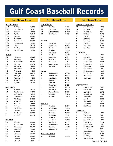## *BATTING AVERAGE*

| <u>BATTING AVERAGE</u> |                        |          |
|------------------------|------------------------|----------|
| 0.430                  | Scott Clemo            | 1983-84  |
| 0.415                  | Eleizar Quinones       | 1986-87  |
| 0.404                  | Justin Byler           | 2005-06  |
| 0.395                  | <b>Bryce Lane</b>      | 2009-10  |
| 0.383                  | Ryan Bear              | 2000-01  |
| 0.378                  | <b>Brad Ramsey</b>     | 1996-97  |
| 0.375                  | Jason Bowers           | 1997-98  |
| 0.372                  | Frank Menechino        | 1990-91  |
| 0.367                  | <b>Tyler Dial</b>      | 2012-13  |
| 0.363                  | <b>Brett Wisely</b>    | 2018-19  |
| 0.362                  | <b>Adam Finnieston</b> | 1993-94  |
| AT BATS                |                        |          |
| 429                    | <b>Tyler Borges</b>    | 2020-22* |
| 418                    | Justin Kelley          | 2019-21  |
| 414                    | <b>Adam Finnieston</b> | 1993-94  |
| 413                    | Nick Nelson            | 2015-16  |
| 405                    | P.J. Johnston          | 1999-00  |
| 392                    | Jason Bowers           | 1997-98  |
| 388                    | Ronte Langs            | 1998-99  |
| 384                    | <b>Trevor Davis</b>    | 2014-15  |
| 373                    | Justin Byler           | 2005-06  |
| 368                    | Juan Henderson         | 1992-93  |
| 359                    | Kevin Husum            | 2012-13  |
| 357                    | <b>Bryce Lane</b>      | 2009-10  |
| <u>RUNS SCORED</u>     |                        |          |
| 125                    | <b>Bryce Lane</b>      | 2009-10  |
| 120                    | Steve Lombardozzi      | 1978-79  |
| 119                    | <b>Jason Bowers</b>    | 1997-98  |
| 106                    | David Robinson         | 1993-94  |
| 104                    | <b>Tyler Borges</b>    | 2020-22* |
| 102                    | Kevin Husum            | 2012-13  |
| 99                     | Ronte Langs            | 1998-99  |
| 98                     | Chad Henry             | 1999-00  |
| 96                     | Cyle Rasmus            | 2009-10  |
| 94                     | Mike Austin            | 1979-80  |
| 91                     | Kevin Polcovich        | 1989-90  |
| 91                     | <b>Brett Wisely</b>    | 2018-19  |
| <u>TOTAL HITS</u>      |                        |          |
| 151                    | Justin Byler           | 2005-06  |
| 150                    | <b>Adam Finnieston</b> | 1993-94  |
| 147                    | Jason Bowers           | 1997-98  |
| 142                    | Scott Clemo            | 1983-84  |
| 141                    | <b>Bryce Lane</b>      | 2009-10  |
| 136                    | <b>Tyler Borges</b>    | 2020-22* |
| 135                    | Ryan Bear              | 2000-01  |
| 133                    | <b>Tim Becker</b>      | 1984-85  |
| 130                    | Nick Nelson            | 2015-16  |
|                        |                        |          |

## **Top 10 Career Offense Top 10 Career Offense Top 10 Career Offense**

| <u>TOTAL HITS CONT.</u>     |                       |         |  |
|-----------------------------|-----------------------|---------|--|
| 131                         | <b>Tyler Dial</b>     | 2012-13 |  |
| 128                         | <b>Trevor Davis</b>   | 2014-15 |  |
| 123                         | Steve Lombardozzi     | 1978-79 |  |
| 120                         | Eddie Cassidy         | 2008-09 |  |
|                             |                       |         |  |
|                             |                       |         |  |
| <u>DOUBLES</u>              |                       |         |  |
| 35                          | <b>Eddie Cassidy</b>  | 2008-09 |  |
| 30                          | Jason Bowers          | 1997-98 |  |
| 29                          | <b>Bryce Lane</b>     | 2009-10 |  |
| 28                          | Justin Byler          | 2005-06 |  |
| 28                          | <b>Brad Ramsey</b>    | 1996-97 |  |
| 27                          | <b>Tyler Dial</b>     | 2012-13 |  |
| 27                          | Roger Nylen           | 1993    |  |
| 26                          | Scott Clemo           | 1983-84 |  |
| 25                          | Nick Ratajczak        | 2011    |  |
| 25                          | <b>Cameron Graves</b> | 2009-10 |  |
| 25                          | <b>Brett Wisely</b>   | 2018-19 |  |
| <b>TRIPLES</b>              |                       |         |  |
| 14                          | Adam Finnieston       | 1993-94 |  |
| 11                          | David Robinson        | 1993-94 |  |
| 10                          | Jason Bowers          | 1997-98 |  |
| 9                           | Ryan Weber            | 1996-97 |  |
| 9                           | Scott Clemo           | 1983-84 |  |
| 8                           | Reggie Albert         | 1979-80 |  |
| 6                           | Mike Morrison         | 2008-09 |  |
| 6                           | Ronte Langs           | 1998-99 |  |
| 6                           | Chris Lombardozzi     | 1983-84 |  |
| 5                           | Max Bartlett          | 2014-15 |  |
| 5                           | <b>Matt Sauls</b>     | 2001-02 |  |
|                             |                       |         |  |
|                             |                       |         |  |
| <b>HOME RUNS</b>            |                       |         |  |
| 33                          | Bryce Lane            | 2009-10 |  |
| 25                          | David Schulze         | 2007-08 |  |
| 24                          | Scott Clemo           | 1983-84 |  |
| 24                          | Randy Olson           | 1977-78 |  |
| 21                          | Max Ryerson           | 2020-21 |  |
| 20                          | Justin Byler          | 2005-06 |  |
| 20                          | John Mariotti         | 2004-05 |  |
| 20                          | <b>Brad Ramsey</b>    | 1996-97 |  |
| 20                          | Adam Finnieston       | 1993-94 |  |
| 19                          | Nick Nelson           | 2015-16 |  |
| 19                          | Demetric Smith        | 2000    |  |
| <b>RUNS BATTED IN-RBI'S</b> |                       |         |  |
| 137                         | <b>Bryce Lane</b>     | 2009-10 |  |
|                             |                       |         |  |

| <u>RUNS BATTED IN-RBI'S CONT.</u> |                          |         |
|-----------------------------------|--------------------------|---------|
| 117                               | Adam Finnieston          | 1993-94 |
| 113                               | Scott Clemo              | 1983-84 |
| 108                               | David Schulze            | 2007-08 |
| 104                               | Nick Nelson              | 2015-16 |
| 101                               | <b>Tyler Dial</b>        | 2012-13 |
| 95                                | Jamie Rock               | 1997-98 |
| 89                                | <b>Justin Kelley</b>     | 2019-21 |
| 88                                | <b>Brad Ramsey</b>       | 1996-97 |
| 86                                | <b>Trevor Davis</b>      | 2014-15 |
| 85                                | Steve Ault               | 1985-86 |
|                                   |                          |         |
| <b>STOLEN BASES</b>               |                          |         |
| 91                                | <b>Tim Becker</b>        | 1984-85 |
| 75                                | Mike Austin              | 1979-80 |
| 58                                | Mike Papajohn            | 1984-85 |
| 55                                | Woody Edwards            | 2014-15 |
| 53                                | <b>Terrance Gore</b>     | 2011    |
| 52                                | <b>Cyle Rasmus</b>       | 2009-10 |
| 48                                | Juan Henderson           | 1992-93 |
| 46                                | <b>Charlie Commander</b> | 1992-93 |
| 44                                | Kent Marshall            | 1990-91 |
| 40                                | Mike Whisman             | 1982-83 |
| 37                                | Kevin Husum              | 2012-13 |
|                                   | HIT BY PITCH PITCH       |         |
| 43                                | Jordan Karcher           | 2005-06 |
| 31                                | Keith Williams           | 2003-04 |
| 30                                | Jake Sullivan            | 2007-08 |
| 28                                | Nick Ratajczak           | 2010-11 |
| 26                                | <b>Justin Blanks</b>     | 2000-01 |
| 22                                | Justin Byler             | 2005-06 |
| 20                                | Drew Benton              | 2007-08 |
| 18                                | Cyle Rasmus              | 2009-10 |
| 19                                | Grant Alvarez            | 2011-12 |
| <b>BASE ON BALLS</b>              |                          |         |
| 91                                | Chad Henry               | 1999-00 |
| 68                                | <b>Tyler Borges</b>      | 2020-22 |
| 66                                | <b>Todd Migliori</b>     | 1994-95 |
| 65                                | David Robinson           | 1993-94 |
| 62                                | Kevin Husum              | 2012-13 |
| 62                                | Adam Finnieston          | 1993-94 |
| 59                                | Frank Menechino          | 1990-91 |
| 57                                | <b>Austin Murphy</b>     | 2016    |
| 56                                | Jeremy Maddox            | 1991-92 |
| 54                                | <b>Brett Wisely</b>      | 2018-19 |
| 52                                | <b>Brent Skipper</b>     | 1993-94 |
| 52                                | Juan Henderson           | 1992-93 |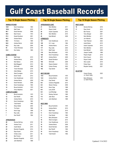### *INNINGS PITCHED*

| <u>INNINGS FILCHED</u> |                          |      |
|------------------------|--------------------------|------|
| 128.1                  | Kevin Humphreys          | 1993 |
| 105.2                  | <b>Matt Foster</b>       | 2015 |
| 99.1                   | David Herndon            | 2006 |
| 99.0                   | <b>Brad Tanner</b>       | 1972 |
| 97.2                   | Daniel Davidson          | 2001 |
| 96.2                   | <b>Andrew Morris</b>     | 2010 |
| 95.0                   | <b>Tim Davis</b>         | 1990 |
| 94.0                   | <b>Andrew Morris</b>     | 2009 |
| 93.2                   | Ray Liotta               | 2004 |
| 93                     | <b>Trever Kilcrease</b>  | 2018 |
| 91.0                   | Don Sutton               | 1965 |
| <u>GAMES STARTED</u>   |                          |      |
| 16                     | <b>Matt Foster</b>       | 2015 |
| 16                     | <b>Andrew Morris</b>     | 2010 |
| 15                     | Nick Nelson              | 2016 |
| 15                     | <b>Brett Maggard</b>     | 2013 |
| 15                     | <b>Will Smith</b>        | 2008 |
| 14                     | <b>Trever Kilcrease</b>  | 2018 |
| 14                     | Adam Bleday              | 2015 |
| 14                     | <b>West Covington</b>    | 2014 |
| 14                     | David Trexler            | 2012 |
| 14                     | Cam Greathouse           | 2010 |
| 14                     | <b>Andrew Morris</b>     | 2009 |
| 14                     | David Herndon            | 2006 |
| 14                     | Kevin Humphreys          | 1993 |
| 14                     | <b>Bruce Kombrink</b>    | 1970 |
| 14                     | <b>Avery Stephens</b>    | 2021 |
|                        | <b>COMPLETE GAMES</b>    |      |
| 12                     | <b>Bruce Kombrink</b>    | 1970 |
| 12                     | Dan Petroff              | 1993 |
| 10                     | <b>Andrew Morris</b>     | 2010 |
| 10                     | Kevin Humphreys          | 1993 |
| 9                      | <b>Todd Harrell</b>      | 1992 |
| 8                      | <b>Shaun Butler</b>      | 2004 |
| 8                      | <b>Tim Davis</b>         | 1990 |
| 8                      | Kevin Orga               | 1998 |
| 7                      | Ray Liotta               | 2004 |
| 7                      | Dan Petroff              | 1994 |
| <u>APPEARANCES</u>     |                          |      |
| 26                     | Deviner McCray           | 2016 |
| 25                     | Andrew Fonzi             | 2011 |
| 24                     | <b>Austin Bizzle</b>     | 2015 |
| 24                     | <b>Brandon Pergantis</b> | 2014 |
| 22                     | Ryan Koziol              | 2014 |
| 23                     | Christo Jones            | 2011 |
| 23                     | <b>Ben Francis</b>       | 2007 |

 Brandon Pergantis 2013 John Markham 1968

## **Top 10 Single Season Pitching Top 10 Single Season Pitching Top 10 Single Season Pitching**

## *APPEARANCES CONT.*  Nick Allbritton 2011 Dayne Cutrell 2008 **Austin Carpenter** 2012 Nick Allbritton 2010 Kyle Mitchell 2009 *STRIKEOUTS*  131 Cam Greathouse 2010 Q.V. Lowe 1964 Andrew Morris 2010 Ray Liotta 2004 Matt Foster 2015 110 Barry McQueen 1970 108 Kevin Humphreys 1993 Andrew Morris 2009 Daniel Davidson 2001 Will Smith 2008 103 Wayne Garland 1970 Carson Dorsey 2022 102 Clay Daniel 1982 **BEST RECORD 14-0** Bruce Kombrink 1970

| 14-U | Bruce Komprink       | 1970 |
|------|----------------------|------|
| 12-0 | <b>Andrew Morris</b> | 2010 |
| 11-0 | Clay Daniel          | 1982 |
| 9-0  | Cameron Ragsdale     | 2014 |
| 8-0  | <b>Steven Cheney</b> | 2006 |
| 8-0  | Kevin Orga           | 1998 |
| 8-0  | Larry Smith          | 1994 |
| 8-0  | Lee Etheridge        | 1990 |
| 7-0  | Rodney German        | 1985 |
| 7-0  | <b>Jake Stout</b>    | 1984 |
| 7-0  | John Markham         | 1968 |
|      |                      |      |

### *MOST WINS*

| 14 | <b>Bruce Kombrink</b> | 1970 |
|----|-----------------------|------|
| 12 | <b>Andrew Morris</b>  | 2010 |
| 11 | Matt Foster           | 2015 |
| 11 | Kevin Humphreys       | 1993 |
| 11 | Clay Daniel           | 1982 |
| 11 | <b>Barry McQueen</b>  | 1970 |
| 10 | <b>West Covington</b> | 2014 |
| 10 | Cam Greathouse        | 2010 |
| 10 | <b>Andrew Morris</b>  | 2009 |
| 10 | David Herndon         | 2006 |
| 10 | Dan Petroff           | 1994 |
| 10 | Kevin Humphreys       | 1993 |
| 10 | <b>Todd Harrell</b>   | 1992 |
|    |                       |      |

| <u>MOST SAVES</u>       |                         |      |
|-------------------------|-------------------------|------|
| 16                      | Deviner McCray          | 2016 |
| 11                      | Ryan Koziol             | 2014 |
| 7                       | <b>Ben Francis</b>      | 2007 |
| 7                       | <b>Terry Stenger</b>    | 2001 |
| 6                       | <b>Nick Allbritton</b>  | 2011 |
| 6                       | Jon Habrack             | 2000 |
| 5                       | <b>Tyler Petersen</b>   | 2022 |
| 5                       | Austin Bizzle           | 2015 |
| 5                       | <b>Austin Carpenter</b> | 2012 |
| 5                       | <b>Nick Allbritton</b>  | 2010 |
| 5                       | Kyle Mitchell           | 2009 |
| 5                       | Joaquin Castillo        | 1999 |
| 4                       | Peyton Knight           | 2018 |
| 4                       | Kevin Husum             | 2012 |
| 4                       | Dayne Cutrell           | 2008 |
| 4                       | Alex Lozado             | 2019 |
| 4                       | Parker Dean             | 2020 |
| 4                       | <b>Brayden Gainey</b>   | 2021 |
|                         |                         |      |
| <i><b>NO-HITTER</b></i> |                         |      |
|                         | Carson Dorsey           | 2022 |

| <b>Carson Doisey</b><br>vs. Grand Valley  | ZUZZ |
|-------------------------------------------|------|
| <b>Barry McQueen</b><br>vs. North Florida | 1970 |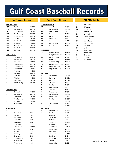### *INNINGS PITCHED*

| 198.2 | <b>Brad Tanner</b>   | 1973-74 |
|-------|----------------------|---------|
| 190.2 | <b>Andrew Morris</b> | 2009-10 |
| 185.0 | Daniel Davidson      | 2000-01 |
| 175.1 | Kevin Humphreys      | 1992-93 |
| 172.1 | Cam Greathouse       | 2009-10 |
| 165.1 | Clay Daniel          | 1981-82 |
| 164.2 | David Herndon        | 2005-06 |
| 161.1 | Kevin Orga           | 1997-98 |
| 152.2 | Brendan Leach        | 2013-14 |
| 147.0 | Doug McDaniel        | 1978-79 |
| 142.0 | <b>Ben Tidwell</b>   | 2011-12 |

#### *GAMES STARTED*

| 30 | <b>Andrew Morris</b>   | 2009-10 |
|----|------------------------|---------|
| 26 | Brendan Leach          | 2013-14 |
| 25 | <b>Ben Tidwell</b>     | 2011-12 |
| 24 | <b>West Covington</b>  | 2014-15 |
| 24 | Cam Greathouse         | 2009-10 |
| 24 | David Herndon          | 2005-06 |
| 24 | Kevin Orga             | 1997-98 |
| 23 | <b>Matt Foster</b>     | 2014-15 |
| 23 | Ryan Frazier           | 2007-08 |
| 23 | John Korn              | 1997-98 |
| 23 | <b>Brad Tanner</b>     | 1973-74 |
| 22 | <b>Kevin Humphreys</b> | 1992-93 |

#### *COMPLETE GAMES*

| 19 | Dan Petroff           | 1993-94 |
|----|-----------------------|---------|
| 16 | <b>Andrew Morris</b>  | 2009-10 |
| 14 | <b>Todd Harrell</b>   | 1991-92 |
| 13 | Kevin Humphreys       | 1992-93 |
| 12 | Dan Petroff           | 1993-94 |
| 12 | <b>Bruce Kombrink</b> | 1970    |

#### *APPEARANCES*

| 46 |                       |           |
|----|-----------------------|-----------|
| 43 | Deviner McCray        | 15-16     |
| 43 | Andrew Fonzi          | $10 - 11$ |
| 41 | Nick Allbritton       | 10-11     |
| 38 | Dayne Cutrell         | 07-08     |
| 37 | Greg Loukinen         | 2017      |
| 37 | Christo Jones         | $11 - 12$ |
| 34 | <b>Tyler Petersen</b> | 2021-22   |
| 34 | Dan Jacobs            | 07-08     |
| 32 | Nick Miller           | 11-12     |
| 32 | <b>Brady Frey</b>     | 09-10     |
| 32 | Devin Copley          | 06-07     |
| 31 | Cam Greathouse        | 09-10     |
| 31 | <b>Andrew Morris</b>  | 09-10     |
| 31 | Peyton Knight         | 18-19     |

## **Top 10 Career Pitching Top 10 Career Pitching ALL-AMERICANS**

| <u>CAREER STRIKEOUTS</u> |                            |         |  |  |  |  |  |  |  |  |
|--------------------------|----------------------------|---------|--|--|--|--|--|--|--|--|
| 235                      | <b>Andrew Morris</b>       | 2009-10 |  |  |  |  |  |  |  |  |
| 212                      | Cam Greathouse             | 2009-10 |  |  |  |  |  |  |  |  |
| 190                      | Daniel Davidson            | 2000-01 |  |  |  |  |  |  |  |  |
| 188                      | Q.V. Lowe                  | 1964-65 |  |  |  |  |  |  |  |  |
| 180                      | Clay Daniel                | 1981-82 |  |  |  |  |  |  |  |  |
| 160                      | Devin Copley               | 2006-07 |  |  |  |  |  |  |  |  |
| 157                      | <b>Matt Foster</b>         | 2014-15 |  |  |  |  |  |  |  |  |
| 145                      | Kevin Humphreys            | 1992-93 |  |  |  |  |  |  |  |  |
| 143                      | John Korn                  | 1997-98 |  |  |  |  |  |  |  |  |
|                          |                            |         |  |  |  |  |  |  |  |  |
| <u>BEST RECORD</u>       |                            |         |  |  |  |  |  |  |  |  |
| 22-2                     | Andrew Morris (.917)       | 2009-10 |  |  |  |  |  |  |  |  |
| $9 - 1$                  | Rodney German (.900)       | 1985-86 |  |  |  |  |  |  |  |  |
| 18-2                     | Brad Tanner (.900)         | 1973-74 |  |  |  |  |  |  |  |  |
| 17-2                     | Bruce Kombrink (.895)      | 1969-70 |  |  |  |  |  |  |  |  |
| 16-2                     | Kevin Orga (.889)          | 1997-98 |  |  |  |  |  |  |  |  |
| 14-2                     | Charlie Constantine (.875) | 1990-91 |  |  |  |  |  |  |  |  |
| $14-2$                   | Rob Niemann (.875)         | 1978-79 |  |  |  |  |  |  |  |  |
| $16 - 4$                 | Doug McDaniel (.800)       | 1978-79 |  |  |  |  |  |  |  |  |
|                          |                            |         |  |  |  |  |  |  |  |  |
| <b>MOST WINS</b>         |                            |         |  |  |  |  |  |  |  |  |
| 22                       | <b>Andrew Morris</b>       | 2009-10 |  |  |  |  |  |  |  |  |
| 18                       | Clay Daniel                | 1981-82 |  |  |  |  |  |  |  |  |
| 18                       | <b>Brad Tanner</b>         | 1973-74 |  |  |  |  |  |  |  |  |
| 18                       | Jack Creel                 | 1966-67 |  |  |  |  |  |  |  |  |
| 17                       | <b>Bruce Kombrink</b>      | 1969-70 |  |  |  |  |  |  |  |  |
| 16                       | Daniel Davidson            | 2000-01 |  |  |  |  |  |  |  |  |
| 16                       | Kevin Orga                 | 1997-98 |  |  |  |  |  |  |  |  |
| 16                       | Doug McDaniel              | 1978-79 |  |  |  |  |  |  |  |  |
| 15                       | Cam Greathouse             | 2009-10 |  |  |  |  |  |  |  |  |
| 15                       | Brendan Leach              | 2013-14 |  |  |  |  |  |  |  |  |
| 14                       | Devin Copley               | 2006-07 |  |  |  |  |  |  |  |  |
|                          |                            | 2005-06 |  |  |  |  |  |  |  |  |
| 14                       | Trever Kilcrease           | 2017-18 |  |  |  |  |  |  |  |  |
| 14                       | Matt Foster                | 2014-15 |  |  |  |  |  |  |  |  |
| <u>MOST SAVES</u><br>18  | Deviner McCray             | 2015-16 |  |  |  |  |  |  |  |  |
| 11                       | <b>Nick Allbritton</b>     | 2010-11 |  |  |  |  |  |  |  |  |
| 11                       | Ryan Koziol                | 2014    |  |  |  |  |  |  |  |  |
| 7                        | Kevin Husum                | 2012-13 |  |  |  |  |  |  |  |  |
| 7                        | <b>Ben Francis</b>         | 2007    |  |  |  |  |  |  |  |  |
| 7                        | <b>Terry Stenger</b>       | 2001-02 |  |  |  |  |  |  |  |  |
| 7                        | Jon Habrack                | 2000-01 |  |  |  |  |  |  |  |  |
| 6                        | <b>Tyler Petersen</b>      | 2021-22 |  |  |  |  |  |  |  |  |
| 6                        | Joaquin Castillo           | 1998-99 |  |  |  |  |  |  |  |  |
| 5                        | <b>Austin Bizzle</b>       | 2014-15 |  |  |  |  |  |  |  |  |
| 5                        | Austin Carpenter           | 2011-12 |  |  |  |  |  |  |  |  |
| 5                        | Nick Allbritton            | 2010    |  |  |  |  |  |  |  |  |
| 5                        | Kyle Mitchell              | 2007-09 |  |  |  |  |  |  |  |  |
| 5                        | Jason Laird                | 2004-05 |  |  |  |  |  |  |  |  |
| 5                        | <b>Brayden Gainey</b>      | 2020-21 |  |  |  |  |  |  |  |  |

| Mack Gornto           |
|-----------------------|
| Q.V. Lowe             |
| Greg Golden           |
| Nate Markham          |
| Joe Gavel             |
| George Simmons        |
| Joe Gavel             |
| Wayne Danson          |
| <b>Bruce Kombrink</b> |
| Dan Petroff           |
| Justin Byler          |
| <b>Andrew Morris</b>  |
| <b>Andrew Morris</b>  |
| Bryce Lane            |
| <b>Tyler Dial</b>     |
| Max Ryerson           |
|                       |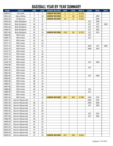## **BASEBALL YEAR BY YEAR SUMMARY**

| <b>YEAR</b> | <b>COACH</b>        | <b>WIN</b> | <b>LOSS</b>    | <b>CAREER RECORD</b> | <b>WIN</b>     | <b>LOSS</b> | WIN % | <b>CONF</b> | <b>REGL</b> | <b>NATL</b> |
|-------------|---------------------|------------|----------------|----------------------|----------------|-------------|-------|-------------|-------------|-------------|
| 1960-61     | Jim Clark           | 1          | $\overline{7}$ | <b>CAREER RECORD</b> | $\mathbf{1}$   | 7           | 0.125 |             |             |             |
| 1961-62     | Gary Ashley         | 7          | 10             | <b>CAREER RECORD</b> | $\overline{7}$ | 10          | 0.412 |             | 3RD         |             |
| 1962-63     | <b>Gil Barrow</b>   | 10         | 8              | <b>CAREER RECORD</b> | 10             | 8           | 0.556 |             | 2ND         |             |
| 1963-64     | <b>Bob McAlpine</b> | 17         | 9              |                      |                |             |       | 1ST         | 2ND         |             |
| 1964-65     | <b>Bob McAlpine</b> | 24         | 12             |                      |                |             |       | 1ST         | 1ST         | 2ND         |
| 1965-66     | <b>Bob McAlpine</b> | 26         | 9              |                      |                |             |       | 1ST         | 4TH         |             |
| 1966-67     | <b>Bob McAlpine</b> | 32         | 10             |                      |                |             |       | 1ST         | 3RD         |             |
| 1967-68     | <b>Bob McAlpine</b> | 31         | 10             | <b>CAREER RECORD</b> | 130            | 50          | 0.722 | 1ST         | 6TH         |             |
| 1968-69     | <b>Bill Frazier</b> | 25         | 12             |                      |                |             |       | 1ST         |             |             |
| 1969-70     | <b>Bill Frazier</b> | 45         | 5              |                      |                |             |       | 1ST         |             |             |
| 1970-71     | <b>Bill Frazier</b> | 41         | 10             |                      |                |             |       |             |             |             |
| 1971-72     | <b>Bill Frazier</b> | 31         | 13             |                      |                |             |       |             |             |             |
| 1972-73     | <b>Bill Frazier</b> | 33         | 22             |                      |                |             |       | 2ND         | 1ST         | 2ND         |
| 1973-74     | <b>Bill Frazier</b> | 45         | $\overline{7}$ |                      |                |             |       | 2ND         | 4TH         |             |
| 1974-75     | <b>Bill Frazier</b> | 38         | 12             |                      |                |             |       |             |             |             |
| 1975-76     | <b>Bill Frazier</b> | 25         | 19             |                      |                |             |       |             |             |             |
| 1976-77     | <b>Bill Frazier</b> | 30         | 20             |                      |                |             |       |             |             |             |
| 1977-78     | <b>Bill Frazier</b> | 35         | 12             |                      |                |             |       |             |             |             |
| 1978-79     | <b>Bill Frazier</b> | 34         | 21             |                      |                |             |       | 1ST         | 3RD         |             |
| 1979-80     | <b>Bill Frazier</b> | 35         | 12             |                      |                |             |       |             |             |             |
| 1980-81     | <b>Bill Frazier</b> | 34         | 21             |                      |                |             |       | 1ST         |             |             |
| 1981-82     | <b>Bill Frazier</b> | 32         | 19             |                      |                |             |       |             |             |             |
| 1982-83     | <b>Bill Frazier</b> | 24         | 20             |                      |                |             |       |             |             |             |
| 1983-84     | <b>Bill Frazier</b> | 48         | 11             |                      |                |             |       | 1ST         | 2ND         |             |
| 1984-85     | <b>Bill Frazier</b> | 36         | 14             |                      |                |             |       |             |             |             |
| 1985-86     | <b>Bill Frazier</b> | 46         | 13             |                      |                |             |       |             |             |             |
| 1986-87     | <b>Bill Frazier</b> | 38         | 18             |                      |                |             |       |             |             |             |
| 1987-88     | <b>Bill Frazier</b> | 36         | 18             |                      |                |             |       |             |             |             |
| 1988-89     | <b>Bill Frazier</b> | 43         | 16             |                      |                |             |       | 1ST         |             |             |
| 1989-90     | <b>Bill Frazier</b> | 47         | 9              |                      |                |             |       | 1ST         |             |             |
| 1990-91     | <b>Bill Frazier</b> | 43         | 17             |                      |                |             |       |             |             |             |
| 1991-92     | <b>Bill Frazier</b> | 37         | 22             | <b>CAREER RECORD</b> | 881            | 363         | 0.708 | 2ND         | 5TH         |             |
| 1991-92     | Darren Mazeroski    | 2          | $\overline{2}$ |                      |                |             |       | 2ND         | 5TH         |             |
| 1992-93     | Darren Mazeroski    | 46         | 20             |                      |                |             |       | 2ND         | 3RD         |             |
| 1993-94     | Darren Mazeroski    | 47         | 12             |                      |                |             |       | 1ST         | 3RD         |             |
| 1994-95     | Darren Mazeroski    | 41         | 15             |                      |                |             |       |             |             |             |
| 1995-96     | Darren Mazeroski    | 35         | 20             |                      |                |             |       |             |             |             |
| 1996-97     | Darren Mazeroski    | 45         | 14             |                      |                |             |       | 1ST         | 5TH         |             |
| 1997-98     | Darren Mazeroski    | 41         | 19             |                      |                |             |       | 1ST         | 3RD         |             |
| 1998-99     | Darren Mazeroski    | 29         | 25             |                      |                |             |       |             |             |             |
| 1999-00     | Darren Mazeroski    | 34         | 22             |                      |                |             |       |             |             |             |
| 2000-01     | Darren Mazeroski    | 37         | 17             |                      |                |             |       |             |             |             |
| 2001-02     | Darren Mazeroski    | 28         | 22             |                      |                |             |       |             |             |             |
| 2002-03     | Darren Mazeroski    | 17         | 33             |                      |                |             |       |             |             |             |
| 2003-04     | Darren Mazeroski    | 34         | 19             |                      |                |             |       |             |             |             |
| 2004-05     | Darren Mazeroski    | 21         | 29             | <b>CAREER RECORD</b> | 457            | 269         | 0.629 |             |             |             |